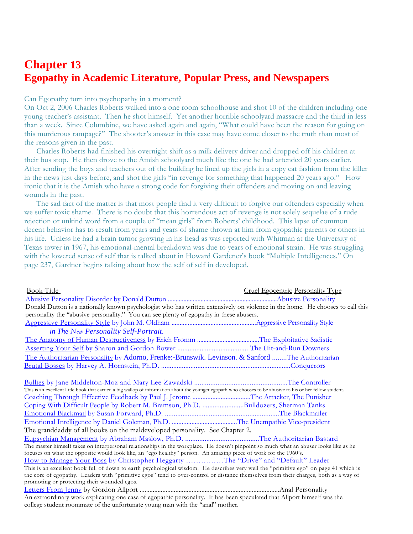## **Chapter 13 Egopathy in Academic Literature, Popular Press, and Newspapers**

## Can Egopathy turn into psychopathy in a moment?

On Oct 2, 2006 Charles Roberts walked into a one room schoolhouse and shot 10 of the children including one young teacher's assistant. Then he shot himself. Yet another horrible schoolyard massacre and the third in less than a week. Since Columbine, we have asked again and again, "What could have been the reason for going on this murderous rampage?" The shooter's answer in this case may have come closer to the truth than most of the reasons given in the past.

 Charles Roberts had finished his overnight shift as a milk delivery driver and dropped off his children at their bus stop. He then drove to the Amish schoolyard much like the one he had attended 20 years earlier. After sending the boys and teachers out of the building he lined up the girls in a copy cat fashion from the killer in the news just days before, and shot the girls "in revenge for something that happened 20 years ago." How ironic that it is the Amish who have a strong code for forgiving their offenders and moving on and leaving wounds in the past.

The sad fact of the matter is that most people find it very difficult to forgive our offenders especially when we suffer toxic shame. There is no doubt that this horrendous act of revenge is not solely sequelae of a rude rejection or unkind word from a couple of "mean girls" from Roberts' childhood. This lapse of common decent behavior has to result from years and years of shame thrown at him from egopathic parents or others in his life. Unless he had a brain tumor growing in his head as was reported with Whitman at the University of Texas tower in 1967, his emotional-mental breakdown was due to years of emotional strain. He was struggling with the lowered sense of self that is talked about in Howard Gardener's book "Multiple Intelligences." On page 237, Gardner begins talking about how the self of self in developed.

| <b>Book Title</b>                                                                                                                                                                                   | <b>Cruel Egocentric Personality Type</b> |  |  |
|-----------------------------------------------------------------------------------------------------------------------------------------------------------------------------------------------------|------------------------------------------|--|--|
|                                                                                                                                                                                                     |                                          |  |  |
| Donald Dutton is a nationally known psychologist who has written extensively on violence in the home. He chooses to call this                                                                       |                                          |  |  |
| personality the "abusive personality." You can see plenty of egopathy in these abusers.                                                                                                             |                                          |  |  |
|                                                                                                                                                                                                     |                                          |  |  |
| in The New Personality Self-Portrait.                                                                                                                                                               |                                          |  |  |
|                                                                                                                                                                                                     |                                          |  |  |
|                                                                                                                                                                                                     |                                          |  |  |
| The Authoritarian Personality by Adorno, Frenke:-Brunswik. Levinson. & Sanford The Authoritarian                                                                                                    |                                          |  |  |
|                                                                                                                                                                                                     |                                          |  |  |
| This is an excellent little book that carried a big wallop of information about the younger egopath who chooses to be abusive to his or her fellow student.                                         |                                          |  |  |
| Coaching Through Effective Feedback by Paul J. Jerome The Attacker, The Punisher                                                                                                                    |                                          |  |  |
| Coping With Difficult People by Robert M. Bramson, Ph.D. Bulldozers, Sherman Tanks                                                                                                                  |                                          |  |  |
|                                                                                                                                                                                                     |                                          |  |  |
|                                                                                                                                                                                                     |                                          |  |  |
| The granddaddy of all books on the maldeveloped personality. See Chapter 2.                                                                                                                         |                                          |  |  |
|                                                                                                                                                                                                     |                                          |  |  |
| The master himself takes on interpersonal relationships in the workplace. He doesn't pinpoint so much what an abuser looks like as he                                                               |                                          |  |  |
| focuses on what the opposite would look like, an "ego healthy" person. An amazing piece of work for the 1960's.<br>How to Manage Your Boss by Christopher Heggarty The "Drive" and "Default" Leader |                                          |  |  |
| This is an excellent book full of down to earth psychological wisdom. He describes very well the "primitive ego" on page 41 which is                                                                |                                          |  |  |
| the core of egopathy. Leaders with "primitive egos" tend to over-control or distance themselves from their charges, both as a way of                                                                |                                          |  |  |
| promoting or protecting their wounded egos.                                                                                                                                                         |                                          |  |  |
|                                                                                                                                                                                                     |                                          |  |  |
| An extraordinary work explicating one case of egopathic personality. It has been speculated that Allport himself was the                                                                            |                                          |  |  |
| college student roommate of the unfortunate young man with the "anal" mother.                                                                                                                       |                                          |  |  |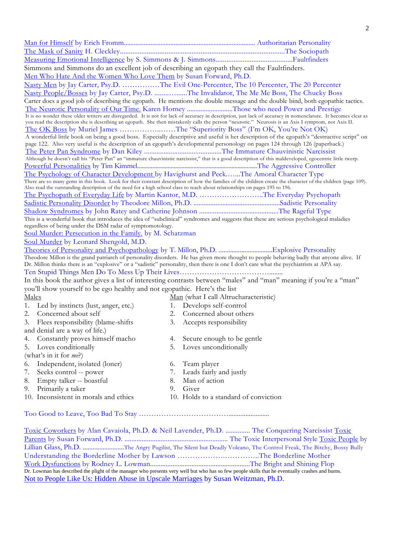| Simmons and Simmons do an excellent job of describing an egopath they call the Faultfinders.                                                                                                                                                                                 |    |                                                                                                                   |
|------------------------------------------------------------------------------------------------------------------------------------------------------------------------------------------------------------------------------------------------------------------------------|----|-------------------------------------------------------------------------------------------------------------------|
| Men Who Hate And the Women Who Love Them by Susan Forward, Ph.D.                                                                                                                                                                                                             |    |                                                                                                                   |
|                                                                                                                                                                                                                                                                              |    | Nasty Men by Jay Carter, Psy.D. The Evil One-Percenter, The 10 Percenter, The 20 Percenter                        |
|                                                                                                                                                                                                                                                                              |    | Nasty People/Bosses by Jay Carter, Psy.D. The Invalidator, The Me Me Boss, The Chucky Boss                        |
| Carter does a good job of describing the egopath. He mentions the double message and the double bind, both egopathic tactics.                                                                                                                                                |    |                                                                                                                   |
|                                                                                                                                                                                                                                                                              |    | The Neurotic Personality of Our Time. Karen Horney Those who need Power and Prestige                              |
| It is no wonder these older writers are disregarded. It is not for lack of accuracy in description, just lack of accuracy in nomenclature. It becomes clear as                                                                                                               |    |                                                                                                                   |
| you read the description she is describing an egopath. She then mistakenly calls the person "neurotic." Neurosis is an Axis I symptom, not Axis II.                                                                                                                          |    |                                                                                                                   |
|                                                                                                                                                                                                                                                                              |    | The OK Boss by Muriel James The "Superiority Boss" (I'm OK, You're Not OK)                                        |
| A wonderful little book on being a good boss. Especially descriptive and useful is her description of the egopath's "destructive script" on<br>page 122. Also very useful is the description of an egopath's developmental personology on pages 124 through 126 (paperback.) |    |                                                                                                                   |
|                                                                                                                                                                                                                                                                              |    |                                                                                                                   |
| Although he doesn't call his "Peter Pan" an "immature chauvinistic narcissist," that is a good description of this maldeveloped, egocentric little twerp.                                                                                                                    |    |                                                                                                                   |
|                                                                                                                                                                                                                                                                              |    |                                                                                                                   |
| The Psychology of Character Development by Havighurst and PeckThe Amoral Character Type                                                                                                                                                                                      |    |                                                                                                                   |
| There are so many gems in this book. Look for their constant description of how the families of the children create the character of the children (page 109).                                                                                                                |    |                                                                                                                   |
| Also read the outstanding description of the need for a high school class to teach about relationships on pages 195 to 196.                                                                                                                                                  |    |                                                                                                                   |
| The Psychopath of Everyday Life by Martin Kantor, M.D. The Everyday Psychopath                                                                                                                                                                                               |    |                                                                                                                   |
|                                                                                                                                                                                                                                                                              |    |                                                                                                                   |
| This is a wonderful book that introduces the idea of "subclinical" syndromes and suggests that these are serious psychological maladies                                                                                                                                      |    |                                                                                                                   |
| regardless of being under the DSM radar of symptomotology.                                                                                                                                                                                                                   |    |                                                                                                                   |
| Soul Murder: Persecution in the Family. by M. Schatzman                                                                                                                                                                                                                      |    |                                                                                                                   |
| Soul Murder by Leonard Shengold, M.D.                                                                                                                                                                                                                                        |    |                                                                                                                   |
|                                                                                                                                                                                                                                                                              |    |                                                                                                                   |
| Theodore Millon is the grand patriarch of personality disorders. He has given more thought to people behaving badly that anyone alive. If                                                                                                                                    |    |                                                                                                                   |
| Dr. Millon thinks there is an "explosive" or a "sadistic" personality, then there is one I don't care what the psychiatrists at APA say.                                                                                                                                     |    |                                                                                                                   |
|                                                                                                                                                                                                                                                                              |    |                                                                                                                   |
|                                                                                                                                                                                                                                                                              |    | In this book the author gives a list of interesting contrasts between "males" and "man" meaning if you're a "man" |
| you'll show yourself to be ego healthy and not egopathic. Here's the list                                                                                                                                                                                                    |    |                                                                                                                   |
| <u>Males</u>                                                                                                                                                                                                                                                                 |    | Man (what I call Altrucharacteristic)                                                                             |
| 1.<br>Led by instincts (lust, anger, etc.)                                                                                                                                                                                                                                   |    | 1. Develops self-control                                                                                          |
| 2.<br>Concerned about self                                                                                                                                                                                                                                                   | 2. | Concerned about others                                                                                            |
| Flees responsibility (blame-shifts<br>3.                                                                                                                                                                                                                                     | 3. | Accepts responsibility                                                                                            |
| and denial are a way of life.)                                                                                                                                                                                                                                               |    |                                                                                                                   |
| Constantly proves himself macho<br>4.                                                                                                                                                                                                                                        | 4. | Secure enough to be gentle                                                                                        |
| 5.<br>Loves conditionally                                                                                                                                                                                                                                                    | 5. | Loves unconditionally                                                                                             |
| (what's in it for <i>me</i> ?)                                                                                                                                                                                                                                               |    |                                                                                                                   |
| Independent, isolated (loner)<br>6.                                                                                                                                                                                                                                          | 6. | Team player                                                                                                       |
| Seeks control -- power<br>7.                                                                                                                                                                                                                                                 | 7. | Leads fairly and justly                                                                                           |
| 8.<br>Empty talker -- boastful                                                                                                                                                                                                                                               | 8. | Man of action                                                                                                     |

- 9. Primarily a taker 9. Giver
- 
- 10. Inconsistent in morals and ethics 10. Holds to a standard of conviction

## Too Good to Leave, Too Bad To Stay ………………………………........................

Toxic Coworkers by Alan Cavaiola, Ph.D. & Neil Lavender, Ph.D. .............. The Conquering Narcissist Toxic Parents by Susan Forward, Ph.D. ............................................................ The Toxic Interpersonal Style Toxic People by Lillian Glass, Ph.D. .........................The Angry Pugilist, The Silent but Deadly Volcano, The Control Freak, The Bitchy, Bossy Bully Understanding the Borderline Mother by Lawson ……………….…………..The Borderline Mother Work Dysfunctions by Rodney L. Lowman..........................................................The Bright and Shining Flop Dr. Lowman has described the plight of the manager who presents very well but who has so few people skills that he eventually crashes and burns. Not to People Like Us: Hidden Abuse in Upscale Marriages by Susan Weitzman, Ph.D.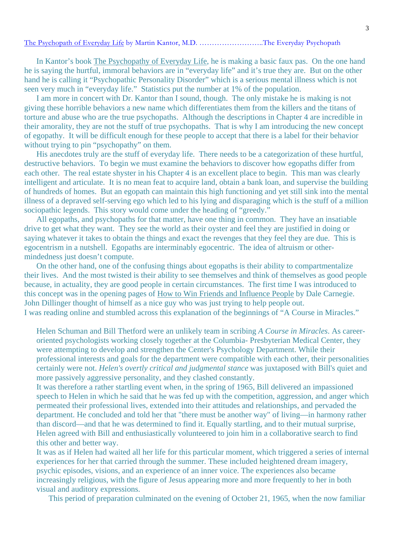The Psychopath of Everyday Life by Martin Kantor, M.D. ……………………..The Everyday Psychopath

In Kantor's book The Psychopathy of Everyday Life, he is making a basic faux pas. On the one hand he is saying the hurtful, immoral behaviors are in "everyday life" and it's true they are. But on the other hand he is calling it "Psychopathic Personality Disorder" which is a serious mental illness which is not seen very much in "everyday life." Statistics put the number at 1% of the population.

 I am more in concert with Dr. Kantor than I sound, though. The only mistake he is making is not giving these horrible behaviors a new name which differentiates them from the killers and the titans of torture and abuse who are the true psychopaths. Although the descriptions in Chapter 4 are incredible in their amorality, they are not the stuff of true psychopaths. That is why I am introducing the new concept of egopathy. It will be difficult enough for these people to accept that there is a label for their behavior without trying to pin "psychopathy" on them.

 His anecdotes truly are the stuff of everyday life. There needs to be a categorization of these hurtful, destructive behaviors. To begin we must examine the behaviors to discover how egopaths differ from each other. The real estate shyster in his Chapter 4 is an excellent place to begin. This man was clearly intelligent and articulate. It is no mean feat to acquire land, obtain a bank loan, and supervise the building of hundreds of homes. But an egopath can maintain this high functioning and yet still sink into the mental illness of a depraved self-serving ego which led to his lying and disparaging which is the stuff of a million sociopathic legends. This story would come under the heading of "greedy."

 All egopaths, and psychopaths for that matter, have one thing in common. They have an insatiable drive to get what they want. They see the world as their oyster and feel they are justified in doing or saying whatever it takes to obtain the things and exact the revenges that they feel they are due. This is egocentrism in a nutshell. Egopaths are interminably egocentric. The idea of altruism or othermindedness just doesn't compute.

 On the other hand, one of the confusing things about egopaths is their ability to compartmentalize their lives. And the most twisted is their ability to see themselves and think of themselves as good people because, in actuality, they are good people in certain circumstances. The first time I was introduced to this concept was in the opening pages of How to Win Friends and Influence People by Dale Carnegie. John Dillinger thought of himself as a nice guy who was just trying to help people out. I was reading online and stumbled across this explanation of the beginnings of "A Course in Miracles."

Helen Schuman and Bill Thetford were an unlikely team in scribing *A Course in Miracles*. As careeroriented psychologists working closely together at the Columbia- Presbyterian Medical Center, they were attempting to develop and strengthen the Center's Psychology Department. While their professional interests and goals for the department were compatible with each other, their personalities certainly were not. *Helen's overtly critical and judgmental stance* was juxtaposed with Bill's quiet and more passively aggressive personality, and they clashed constantly.

It was therefore a rather startling event when, in the spring of 1965, Bill delivered an impassioned speech to Helen in which he said that he was fed up with the competition, aggression, and anger which permeated their professional lives, extended into their attitudes and relationships, and pervaded the department. He concluded and told her that "there must be another way" of living—in harmony rather than discord—and that he was determined to find it. Equally startling, and to their mutual surprise, Helen agreed with Bill and enthusiastically volunteered to join him in a collaborative search to find this other and better way.

It was as if Helen had waited all her life for this particular moment, which triggered a series of internal experiences for her that carried through the summer. These included heightened dream imagery, psychic episodes, visions, and an experience of an inner voice. The experiences also became increasingly religious, with the figure of Jesus appearing more and more frequently to her in both visual and auditory expressions.

This period of preparation culminated on the evening of October 21, 1965, when the now familiar